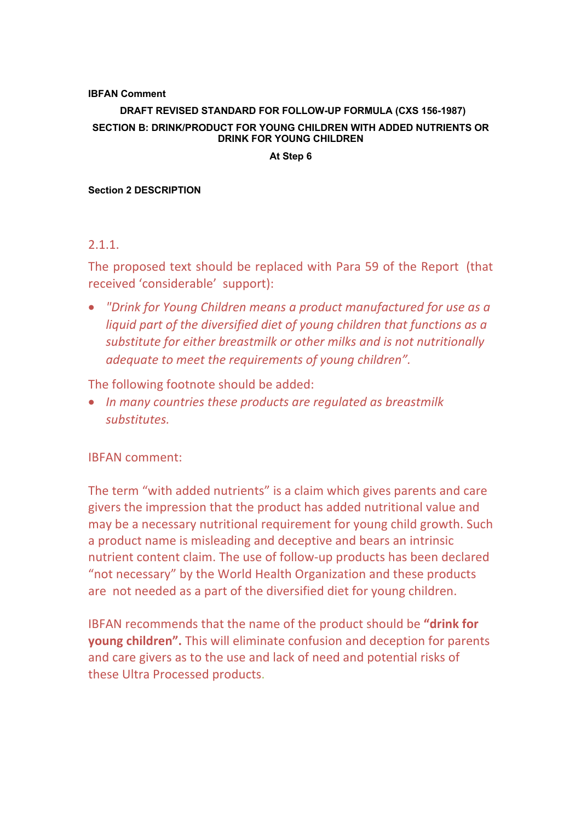### **IBFAN Comment**

# **DRAFT REVISED STANDARD FOR FOLLOW-UP FORMULA (CXS 156-1987) SECTION B: DRINK/PRODUCT FOR YOUNG CHILDREN WITH ADDED NUTRIENTS OR DRINK FOR YOUNG CHILDREN**

#### **At Step 6**

#### **Section 2 DESCRIPTION**

## 2.1.1.

The proposed text should be replaced with Para 59 of the Report (that received 'considerable' support):

• *"Drink for Young Children means a product manufactured for use as a liquid part of the diversified diet of young children that functions as a substitute for either breastmilk or other milks and is not nutritionally adequate to meet the requirements of young children".*

The following footnote should be added:

• *In many countries these products are regulated as breastmilk substitutes.*

## IBFAN comment:

The term "with added nutrients" is a claim which gives parents and care givers the impression that the product has added nutritional value and may be a necessary nutritional requirement for young child growth. Such a product name is misleading and deceptive and bears an intrinsic nutrient content claim. The use of follow-up products has been declared "not necessary" by the World Health Organization and these products are not needed as a part of the diversified diet for young children.

IBFAN recommends that the name of the product should be **"drink for young children".** This will eliminate confusion and deception for parents and care givers as to the use and lack of need and potential risks of these Ultra Processed products.